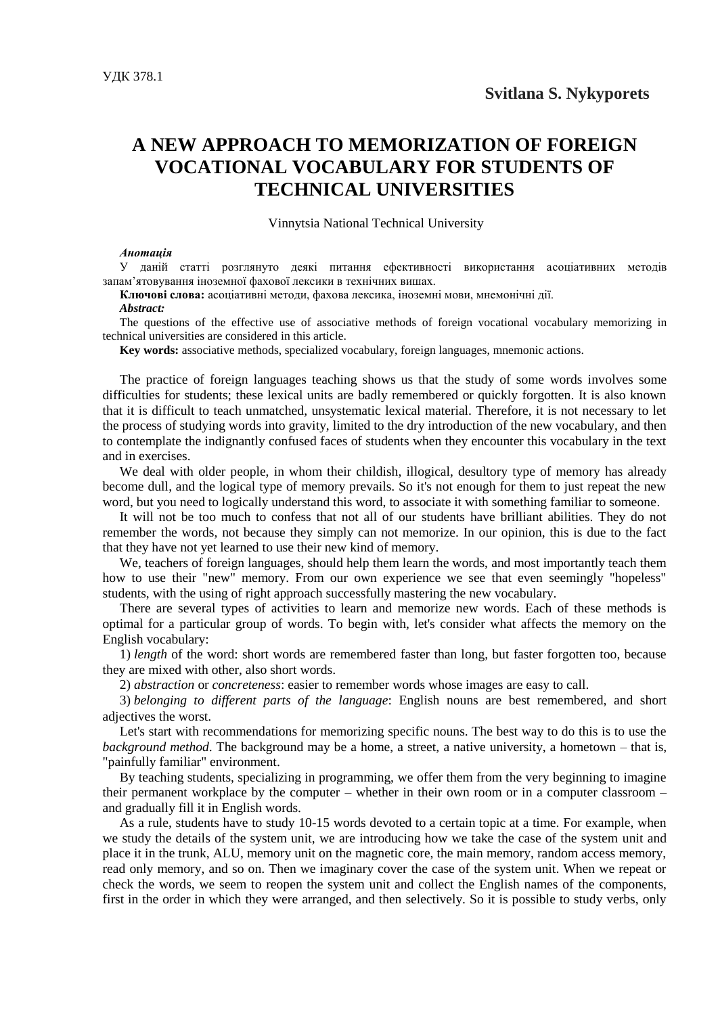## **A NEW APPROACH TO MEMORIZATION OF FOREIGN VOCATIONAL VOCABULARY FOR STUDENTS OF TECHNICAL UNIVERSITIES**

Vinnytsia National Technical University

## *Анотація*

У даній статті розглянуто деякі питання ефективності використання асоціативних методів запам'ятовування іноземної фахової лексики в технічних вишах.

**Ключові слова:** асоціативні методи, фахова лексика, іноземні мови, мнемонічні дії.

## *Abstract:*

The questions of the effective use of associative methods of foreign vocational vocabulary memorizing in technical universities are considered in this article.

**Key words:** associative methods, specialized vocabulary, foreign languages, mnemonic actions.

The practice of foreign languages teaching shows us that the study of some words involves some difficulties for students; these lexical units are badly remembered or quickly forgotten. It is also known that it is difficult to teach unmatched, unsystematic lexical material. Therefore, it is not necessary to let the process of studying words into gravity, limited to the dry introduction of the new vocabulary, and then to contemplate the indignantly confused faces of students when they encounter this vocabulary in the text and in exercises.

We deal with older people, in whom their childish, illogical, desultory type of memory has already become dull, and the logical type of memory prevails. So it's not enough for them to just repeat the new word, but you need to logically understand this word, to associate it with something familiar to someone.

It will not be too much to confess that not all of our students have brilliant abilities. They do not remember the words, not because they simply can not memorize. In our opinion, this is due to the fact that they have not yet learned to use their new kind of memory.

We, teachers of foreign languages, should help them learn the words, and most importantly teach them how to use their "new" memory. From our own experience we see that even seemingly "hopeless" students, with the using of right approach successfully mastering the new vocabulary.

There are several types of activities to learn and memorize new words. Each of these methods is optimal for a particular group of words. To begin with, let's consider what affects the memory on the English vocabulary:

1) *length* of the word: short words are remembered faster than long, but faster forgotten too, because they are mixed with other, also short words.

2) *abstraction* or *concreteness*: easier to remember words whose images are easy to call.

3) *belonging to different parts of the language*: English nouns are best remembered, and short adjectives the worst.

Let's start with recommendations for memorizing specific nouns. The best way to do this is to use the *background method*. The background may be a home, a street, a native university, a hometown – that is, "painfully familiar" environment.

By teaching students, specializing in programming, we offer them from the very beginning to imagine their permanent workplace by the computer – whether in their own room or in a computer classroom – and gradually fill it in English words.

As a rule, students have to study 10-15 words devoted to a certain topic at a time. For example, when we study the details of the system unit, we are introducing how we take the case of the system unit and place it in the trunk, ALU, memory unit on the magnetic core, the main memory, random access memory, read only memory, and so on. Then we imaginary cover the case of the system unit. When we repeat or check the words, we seem to reopen the system unit and collect the English names of the components, first in the order in which they were arranged, and then selectively. So it is possible to study verbs, only